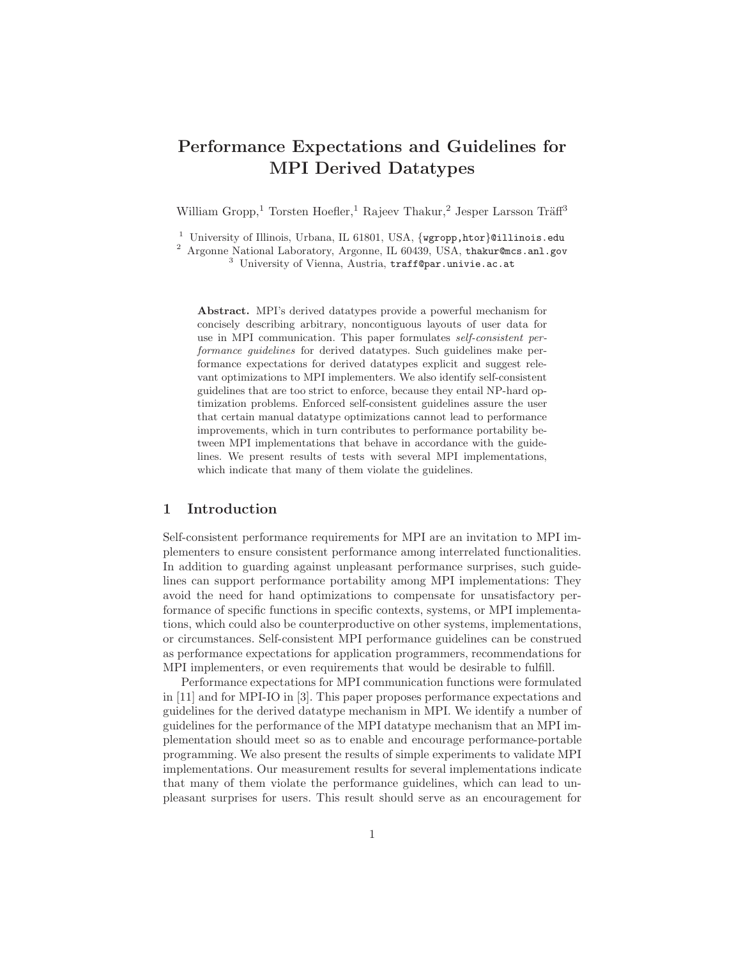# Performance Expectations and Guidelines for MPI Derived Datatypes

William Gropp,<sup>1</sup> Torsten Hoefler,<sup>1</sup> Rajeev Thakur,<sup>2</sup> Jesper Larsson Träff<sup>3</sup>

 $^1$ University of Illinois, Urbana, IL 61801, USA,  $\{\mathtt{wgroup}, \mathtt{ktor}\}$ Cillinois.edu

<sup>2</sup> Argonne National Laboratory, Argonne, IL 60439, USA, thakur@mcs.anl.gov <sup>3</sup> University of Vienna, Austria, traff@par.univie.ac.at

Abstract. MPI's derived datatypes provide a powerful mechanism for concisely describing arbitrary, noncontiguous layouts of user data for use in MPI communication. This paper formulates self-consistent performance guidelines for derived datatypes. Such guidelines make performance expectations for derived datatypes explicit and suggest relevant optimizations to MPI implementers. We also identify self-consistent guidelines that are too strict to enforce, because they entail NP-hard optimization problems. Enforced self-consistent guidelines assure the user that certain manual datatype optimizations cannot lead to performance improvements, which in turn contributes to performance portability between MPI implementations that behave in accordance with the guidelines. We present results of tests with several MPI implementations, which indicate that many of them violate the guidelines.

#### 1 Introduction

Self-consistent performance requirements for MPI are an invitation to MPI implementers to ensure consistent performance among interrelated functionalities. In addition to guarding against unpleasant performance surprises, such guidelines can support performance portability among MPI implementations: They avoid the need for hand optimizations to compensate for unsatisfactory performance of specific functions in specific contexts, systems, or MPI implementations, which could also be counterproductive on other systems, implementations, or circumstances. Self-consistent MPI performance guidelines can be construed as performance expectations for application programmers, recommendations for MPI implementers, or even requirements that would be desirable to fulfill.

Performance expectations for MPI communication functions were formulated in [11] and for MPI-IO in [3]. This paper proposes performance expectations and guidelines for the derived datatype mechanism in MPI. We identify a number of guidelines for the performance of the MPI datatype mechanism that an MPI implementation should meet so as to enable and encourage performance-portable programming. We also present the results of simple experiments to validate MPI implementations. Our measurement results for several implementations indicate that many of them violate the performance guidelines, which can lead to unpleasant surprises for users. This result should serve as an encouragement for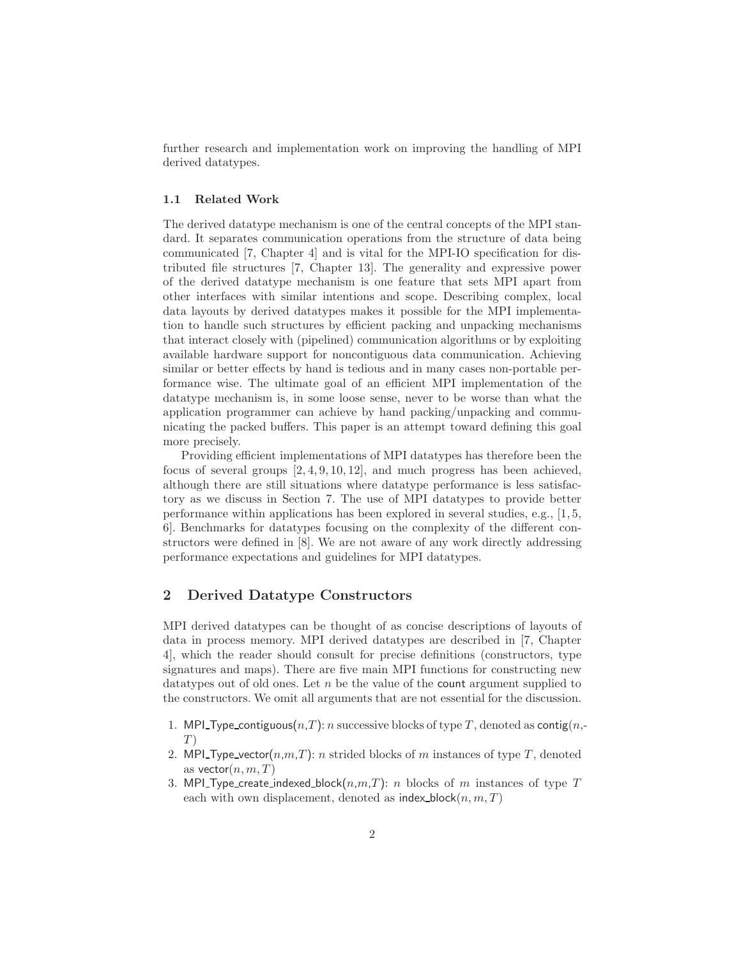further research and implementation work on improving the handling of MPI derived datatypes.

#### 1.1 Related Work

The derived datatype mechanism is one of the central concepts of the MPI standard. It separates communication operations from the structure of data being communicated [7, Chapter 4] and is vital for the MPI-IO specification for distributed file structures [7, Chapter 13]. The generality and expressive power of the derived datatype mechanism is one feature that sets MPI apart from other interfaces with similar intentions and scope. Describing complex, local data layouts by derived datatypes makes it possible for the MPI implementation to handle such structures by efficient packing and unpacking mechanisms that interact closely with (pipelined) communication algorithms or by exploiting available hardware support for noncontiguous data communication. Achieving similar or better effects by hand is tedious and in many cases non-portable performance wise. The ultimate goal of an efficient MPI implementation of the datatype mechanism is, in some loose sense, never to be worse than what the application programmer can achieve by hand packing/unpacking and communicating the packed buffers. This paper is an attempt toward defining this goal more precisely.

Providing efficient implementations of MPI datatypes has therefore been the focus of several groups [2, 4, 9, 10, 12], and much progress has been achieved, although there are still situations where datatype performance is less satisfactory as we discuss in Section 7. The use of MPI datatypes to provide better performance within applications has been explored in several studies, e.g., [1, 5, 6]. Benchmarks for datatypes focusing on the complexity of the different constructors were defined in [8]. We are not aware of any work directly addressing performance expectations and guidelines for MPI datatypes.

# 2 Derived Datatype Constructors

MPI derived datatypes can be thought of as concise descriptions of layouts of data in process memory. MPI derived datatypes are described in [7, Chapter 4], which the reader should consult for precise definitions (constructors, type signatures and maps). There are five main MPI functions for constructing new datatypes out of old ones. Let  $n$  be the value of the count argument supplied to the constructors. We omit all arguments that are not essential for the discussion.

- 1. MPI Type contiguous $(n,T)$ : n successive blocks of type T, denoted as contig $(n,-)$  $T)$
- 2. MPL Type vector $(n,m,T)$ : n strided blocks of m instances of type T, denoted as vector $(n, m, T)$
- 3. MPI Type create indexed block $(n,m,T)$ : n blocks of m instances of type T each with own displacement, denoted as index block $(n, m, T)$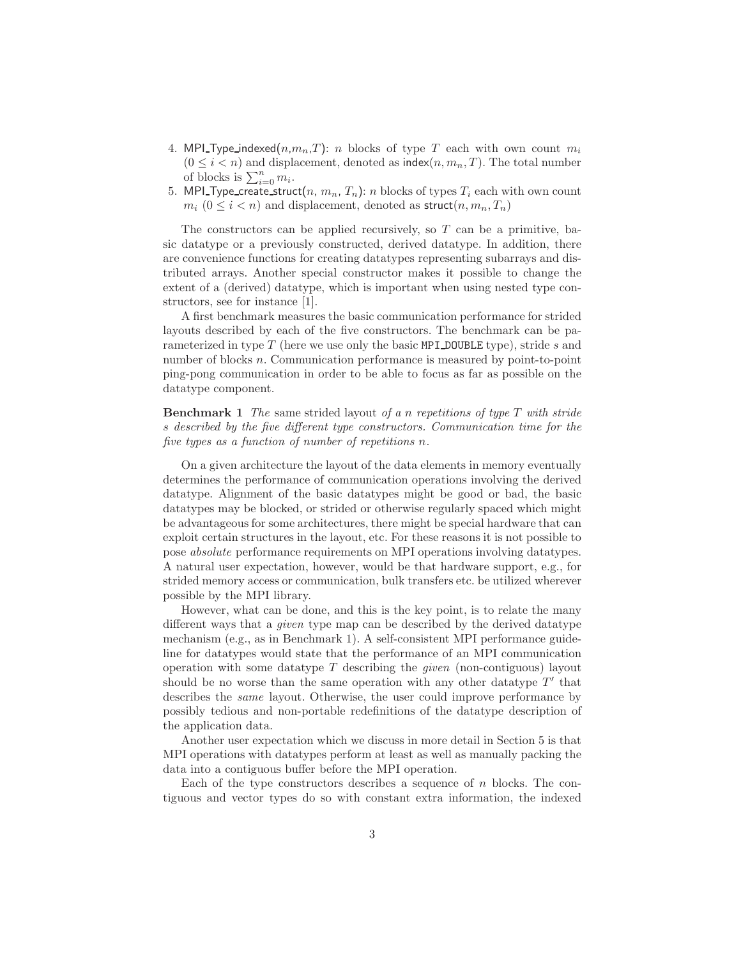- 4. MPI Type indexed $(n,m_n,T)$ : n blocks of type T each with own count  $m_i$  $(0 \leq i < n)$  and displacement, denoted as index $(n, m_n, T)$ . The total number of blocks is  $\sum_{i=0}^{n} m_i$ .
- 5. MPI Type create struct $(n, m_n, T_n)$ : n blocks of types  $T_i$  each with own count  $m_i$   $(0 \leq i < n)$  and displacement, denoted as struct $(n, m_n, T_n)$

The constructors can be applied recursively, so T can be a primitive, basic datatype or a previously constructed, derived datatype. In addition, there are convenience functions for creating datatypes representing subarrays and distributed arrays. Another special constructor makes it possible to change the extent of a (derived) datatype, which is important when using nested type constructors, see for instance [1].

A first benchmark measures the basic communication performance for strided layouts described by each of the five constructors. The benchmark can be parameterized in type T (here we use only the basic MPI DOUBLE type), stride s and number of blocks *n*. Communication performance is measured by point-to-point ping-pong communication in order to be able to focus as far as possible on the datatype component.

Benchmark 1 *The* same strided layout *of a* n *repetitions of type* T *with stride* s *described by the five different type constructors. Communication time for the five types as a function of number of repetitions* n*.*

On a given architecture the layout of the data elements in memory eventually determines the performance of communication operations involving the derived datatype. Alignment of the basic datatypes might be good or bad, the basic datatypes may be blocked, or strided or otherwise regularly spaced which might be advantageous for some architectures, there might be special hardware that can exploit certain structures in the layout, etc. For these reasons it is not possible to pose *absolute* performance requirements on MPI operations involving datatypes. A natural user expectation, however, would be that hardware support, e.g., for strided memory access or communication, bulk transfers etc. be utilized wherever possible by the MPI library.

However, what can be done, and this is the key point, is to relate the many different ways that a *given* type map can be described by the derived datatype mechanism (e.g., as in Benchmark 1). A self-consistent MPI performance guideline for datatypes would state that the performance of an MPI communication operation with some datatype T describing the *given* (non-contiguous) layout should be no worse than the same operation with any other datatype  $T'$  that describes the *same* layout. Otherwise, the user could improve performance by possibly tedious and non-portable redefinitions of the datatype description of the application data.

Another user expectation which we discuss in more detail in Section 5 is that MPI operations with datatypes perform at least as well as manually packing the data into a contiguous buffer before the MPI operation.

Each of the type constructors describes a sequence of  $n$  blocks. The contiguous and vector types do so with constant extra information, the indexed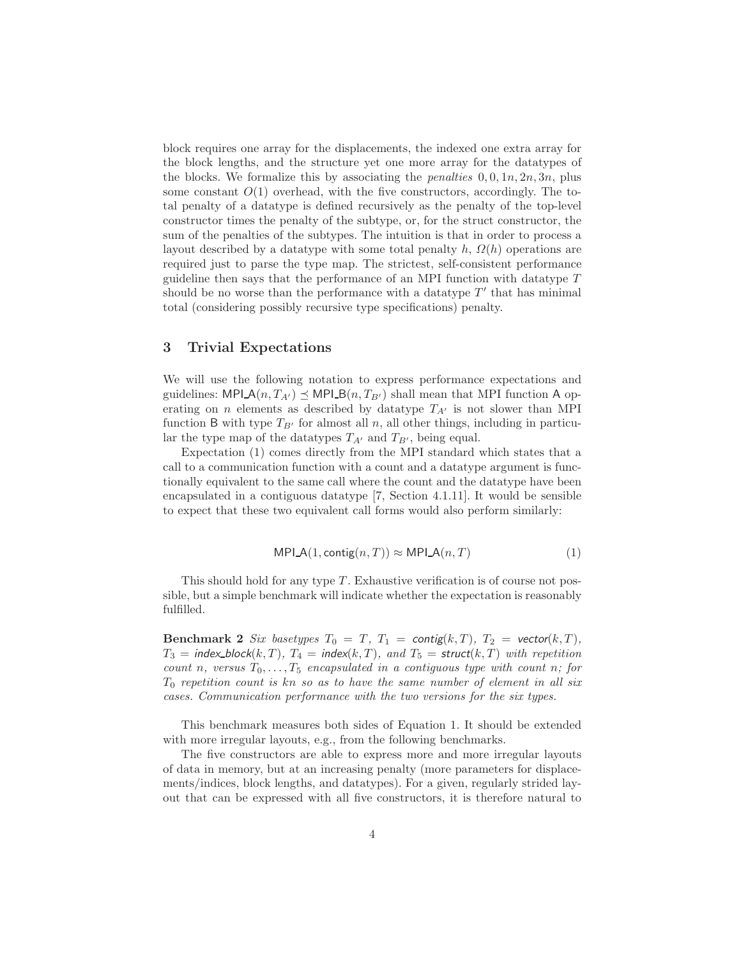block requires one array for the displacements, the indexed one extra array for the block lengths, and the structure yet one more array for the datatypes of the blocks. We formalize this by associating the *penalties*  $0, 0, 1n, 2n, 3n$ , plus some constant  $O(1)$  overhead, with the five constructors, accordingly. The total penalty of a datatype is defined recursively as the penalty of the top-level constructor times the penalty of the subtype, or, for the struct constructor, the sum of the penalties of the subtypes. The intuition is that in order to process a layout described by a datatype with some total penalty h,  $\Omega(h)$  operations are required just to parse the type map. The strictest, self-consistent performance guideline then says that the performance of an MPI function with datatype  $T$ should be no worse than the performance with a datatype  $T'$  that has minimal total (considering possibly recursive type specifications) penalty.

#### 3 Trivial Expectations

We will use the following notation to express performance expectations and guidelines: MPLA $(n, T_{A'}) \preceq MPI\_B(n, T_{B'})$  shall mean that MPI function A operating on n elements as described by datatype  $T_{A'}$  is not slower than MPI function B with type  $T_{B'}$  for almost all n, all other things, including in particular the type map of the datatypes  $T_{A'}$  and  $T_{B'}$ , being equal.

Expectation (1) comes directly from the MPI standard which states that a call to a communication function with a count and a datatype argument is functionally equivalent to the same call where the count and the datatype have been encapsulated in a contiguous datatype [7, Section 4.1.11]. It would be sensible to expect that these two equivalent call forms would also perform similarly:

$$
MPI_A(1, contig(n, T)) \approx MPI_A(n, T)
$$
 (1)

This should hold for any type T. Exhaustive verification is of course not possible, but a simple benchmark will indicate whether the expectation is reasonably fulfilled.

Benchmark 2 *Six basetypes*  $T_0 = T$ ,  $T_1 = \text{contig}(k, T)$ ,  $T_2 = \text{vector}(k, T)$ ,  $T_3$  = index\_block(k, T),  $T_4$  = index(k, T), and  $T_5$  = struct(k, T) with repetition *count* n, versus  $T_0, \ldots, T_5$  *encapsulated in a contiguous type with count* n; for T<sup>0</sup> *repetition count is* kn *so as to have the same number of element in all six cases. Communication performance with the two versions for the six types.*

This benchmark measures both sides of Equation 1. It should be extended with more irregular layouts, e.g., from the following benchmarks.

The five constructors are able to express more and more irregular layouts of data in memory, but at an increasing penalty (more parameters for displacements/indices, block lengths, and datatypes). For a given, regularly strided layout that can be expressed with all five constructors, it is therefore natural to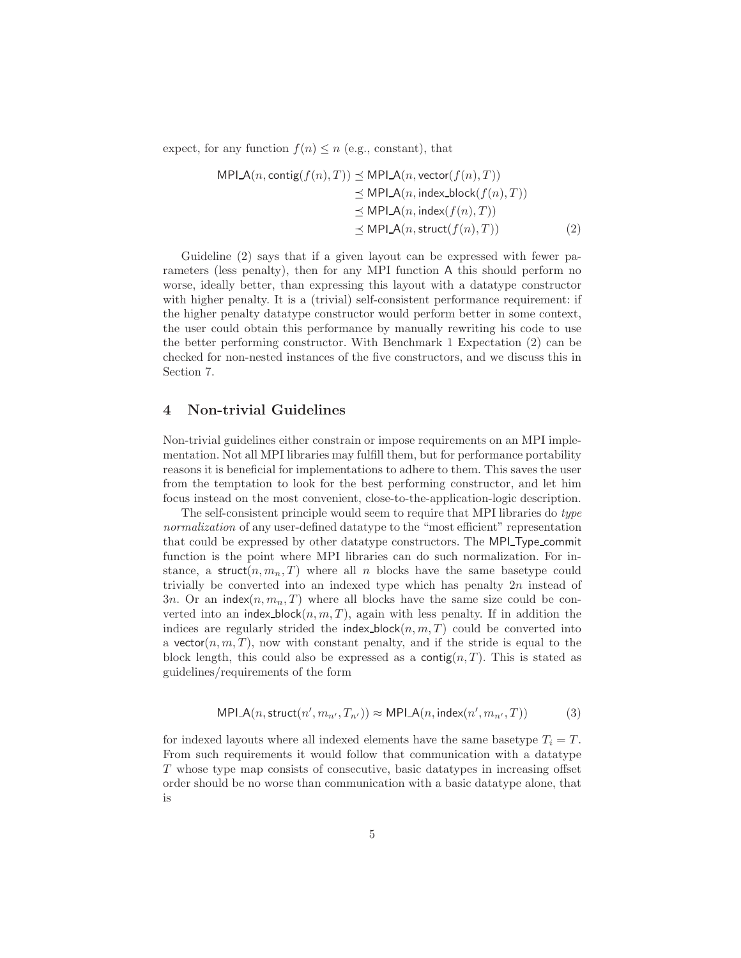expect, for any function  $f(n) \leq n$  (e.g., constant), that

$$
MPI_A(n, contig(f(n), T)) \preceq MPI_A(n, vector(f(n), T))
$$
  
\n
$$
\preceq MPI_A(n, index\_block(f(n), T))
$$
  
\n
$$
\preceq MPI_A(n, index(f(n), T))
$$
  
\n
$$
\preceq MPI_A(n, struct(f(n), T))
$$
\n(2)

Guideline (2) says that if a given layout can be expressed with fewer parameters (less penalty), then for any MPI function A this should perform no worse, ideally better, than expressing this layout with a datatype constructor with higher penalty. It is a (trivial) self-consistent performance requirement: if the higher penalty datatype constructor would perform better in some context, the user could obtain this performance by manually rewriting his code to use the better performing constructor. With Benchmark 1 Expectation (2) can be checked for non-nested instances of the five constructors, and we discuss this in Section 7.

#### 4 Non-trivial Guidelines

Non-trivial guidelines either constrain or impose requirements on an MPI implementation. Not all MPI libraries may fulfill them, but for performance portability reasons it is beneficial for implementations to adhere to them. This saves the user from the temptation to look for the best performing constructor, and let him focus instead on the most convenient, close-to-the-application-logic description.

The self-consistent principle would seem to require that MPI libraries do *type normalization* of any user-defined datatype to the "most efficient" representation that could be expressed by other datatype constructors. The MPI\_Type\_commit function is the point where MPI libraries can do such normalization. For instance, a struct $(n, m_n, T)$  where all n blocks have the same basetype could trivially be converted into an indexed type which has penalty  $2n$  instead of 3n. Or an index $(n, m_n, T)$  where all blocks have the same size could be converted into an index block $(n, m, T)$ , again with less penalty. If in addition the indices are regularly strided the index block $(n, m, T)$  could be converted into a vector $(n, m, T)$ , now with constant penalty, and if the stride is equal to the block length, this could also be expressed as a contig $(n, T)$ . This is stated as guidelines/requirements of the form

$$
MPI\_A(n, struct(n', m_{n'}, T_{n'})) \approx MPLA(n, index(n', m_{n'}, T))
$$
 (3)

for indexed layouts where all indexed elements have the same basetype  $T_i = T$ . From such requirements it would follow that communication with a datatype T whose type map consists of consecutive, basic datatypes in increasing offset order should be no worse than communication with a basic datatype alone, that is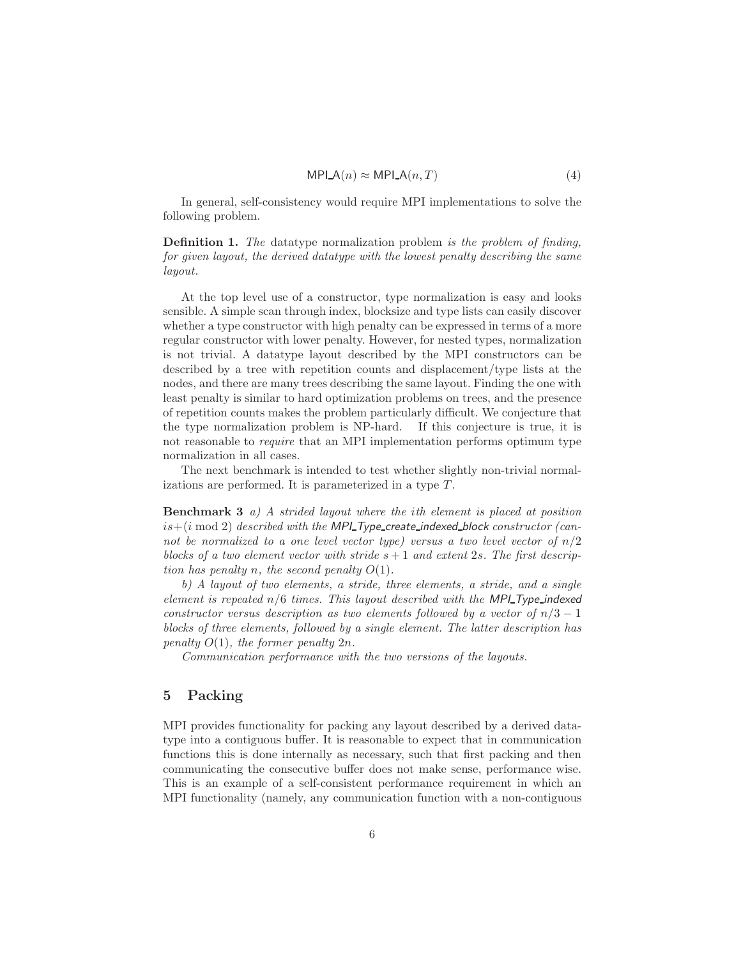$$
MPI_A(n) \approx MPI_A(n, T) \tag{4}
$$

In general, self-consistency would require MPI implementations to solve the following problem.

Definition 1. *The* datatype normalization problem *is the problem of finding, for given layout, the derived datatype with the lowest penalty describing the same layout.*

At the top level use of a constructor, type normalization is easy and looks sensible. A simple scan through index, blocksize and type lists can easily discover whether a type constructor with high penalty can be expressed in terms of a more regular constructor with lower penalty. However, for nested types, normalization is not trivial. A datatype layout described by the MPI constructors can be described by a tree with repetition counts and displacement/type lists at the nodes, and there are many trees describing the same layout. Finding the one with least penalty is similar to hard optimization problems on trees, and the presence of repetition counts makes the problem particularly difficult. We conjecture that the type normalization problem is NP-hard. If this conjecture is true, it is not reasonable to *require* that an MPI implementation performs optimum type normalization in all cases.

The next benchmark is intended to test whether slightly non-trivial normalizations are performed. It is parameterized in a type  $T$ .

Benchmark 3 *a) A strided layout where the* i*th element is placed at position* is+(i mod 2) *described with the MPI\_Type\_create\_indexed\_block constructor (cannot be normalized to a one level vector type) versus a two level vector of* n/2 blocks of a two element vector with stride  $s+1$  and extent 2s. The first descrip*tion has penalty n, the second penalty*  $O(1)$ *.* 

*b) A layout of two elements, a stride, three elements, a stride, and a single element is repeated*  $n/6$  *times. This layout described with the MPI\_Type\_indexed constructor versus description as two elements followed by a vector of* n/3 − 1 *blocks of three elements, followed by a single element. The latter description has penalty* O(1)*, the former penalty* 2n*.*

*Communication performance with the two versions of the layouts.*

## 5 Packing

MPI provides functionality for packing any layout described by a derived datatype into a contiguous buffer. It is reasonable to expect that in communication functions this is done internally as necessary, such that first packing and then communicating the consecutive buffer does not make sense, performance wise. This is an example of a self-consistent performance requirement in which an MPI functionality (namely, any communication function with a non-contiguous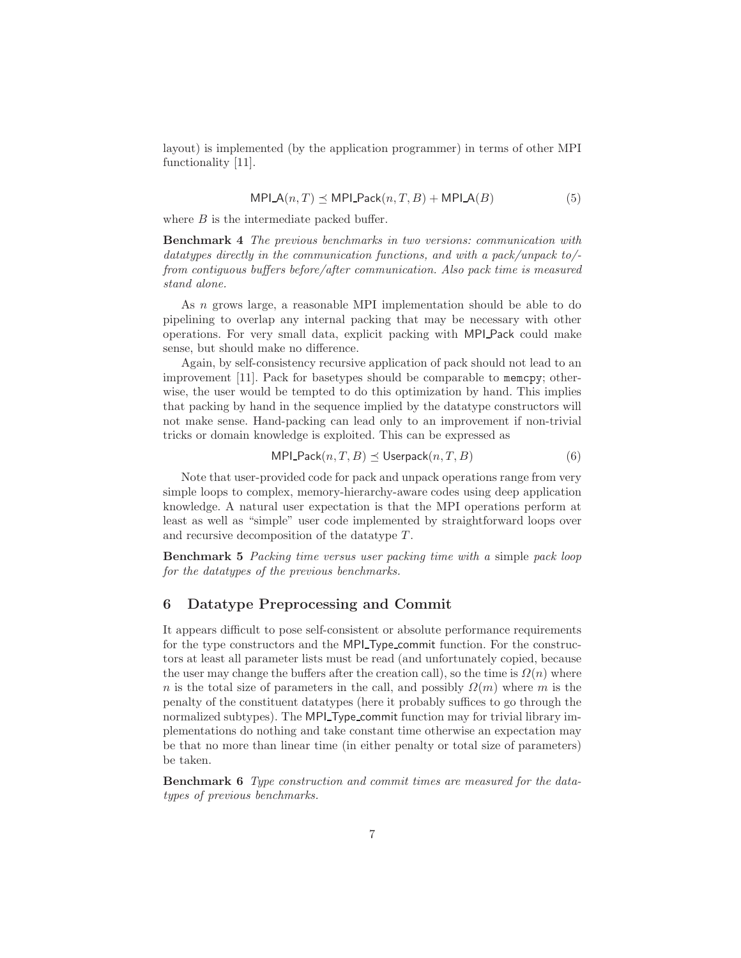layout) is implemented (by the application programmer) in terms of other MPI functionality [11].

$$
MPI_A(n, T) \preceq MPI_Pack(n, T, B) + MPI_A(B)
$$
 (5)

where  $B$  is the intermediate packed buffer.

Benchmark 4 *The previous benchmarks in two versions: communication with datatypes directly in the communication functions, and with a pack/unpack to/ from contiguous buffers before/after communication. Also pack time is measured stand alone.*

As n grows large, a reasonable MPI implementation should be able to do pipelining to overlap any internal packing that may be necessary with other operations. For very small data, explicit packing with MPI Pack could make sense, but should make no difference.

Again, by self-consistency recursive application of pack should not lead to an improvement [11]. Pack for basetypes should be comparable to memcpy; otherwise, the user would be tempted to do this optimization by hand. This implies that packing by hand in the sequence implied by the datatype constructors will not make sense. Hand-packing can lead only to an improvement if non-trivial tricks or domain knowledge is exploited. This can be expressed as

$$
MPI\text{-}Pack(n, T, B) \preceq Userpack(n, T, B)
$$
\n
$$
(6)
$$

Note that user-provided code for pack and unpack operations range from very simple loops to complex, memory-hierarchy-aware codes using deep application knowledge. A natural user expectation is that the MPI operations perform at least as well as "simple" user code implemented by straightforward loops over and recursive decomposition of the datatype T .

Benchmark 5 *Packing time versus user packing time with a* simple *pack loop for the datatypes of the previous benchmarks.*

#### 6 Datatype Preprocessing and Commit

It appears difficult to pose self-consistent or absolute performance requirements for the type constructors and the MPI Type commit function. For the constructors at least all parameter lists must be read (and unfortunately copied, because the user may change the buffers after the creation call), so the time is  $\Omega(n)$  where n is the total size of parameters in the call, and possibly  $\Omega(m)$  where m is the penalty of the constituent datatypes (here it probably suffices to go through the normalized subtypes). The MPI Type commit function may for trivial library implementations do nothing and take constant time otherwise an expectation may be that no more than linear time (in either penalty or total size of parameters) be taken.

Benchmark 6 *Type construction and commit times are measured for the datatypes of previous benchmarks.*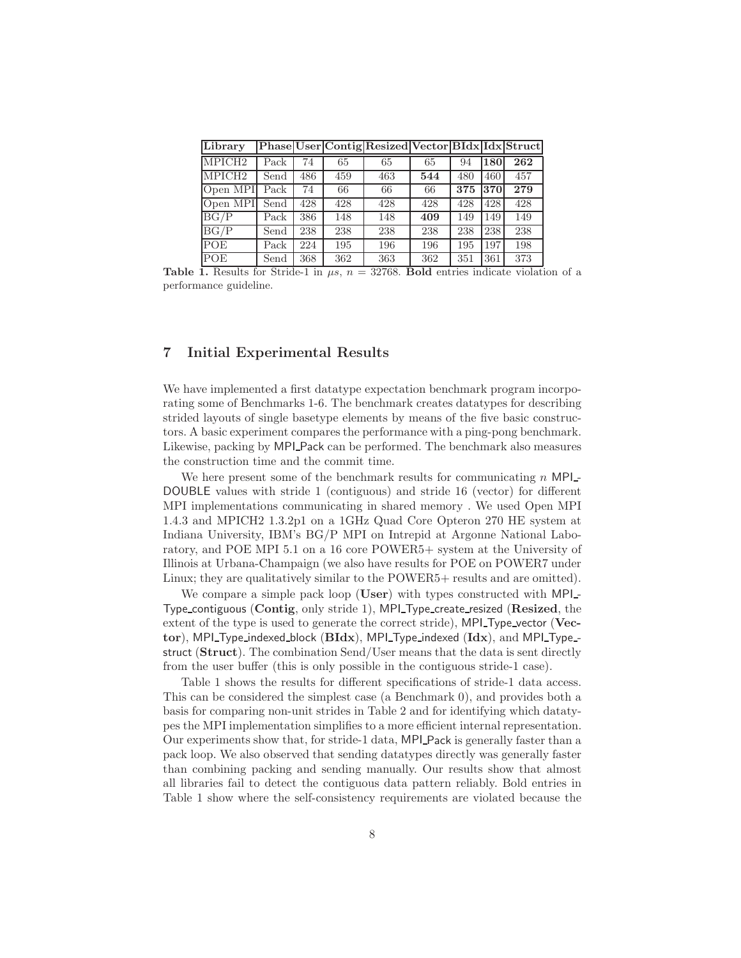| Library            |      |     |     | Phase User Contig Resized Vector BIdx Idx Struct |     |     |     |     |
|--------------------|------|-----|-----|--------------------------------------------------|-----|-----|-----|-----|
| MPICH <sub>2</sub> | Pack | 74  | 65  | 65                                               | 65  | 94  | 180 | 262 |
| MPICH <sub>2</sub> | Send | 486 | 459 | 463                                              | 544 | 480 | 460 | 457 |
| Open MPI           | Pack | 74  | 66  | 66                                               | 66  | 375 | 370 | 279 |
| Open MPI           | Send | 428 | 428 | 428                                              | 428 | 428 | 428 | 428 |
| BG/P               | Pack | 386 | 148 | 148                                              | 409 | 149 | 149 | 149 |
| BG/P               | Send | 238 | 238 | 238                                              | 238 | 238 | 238 | 238 |
| POE                | Pack | 224 | 195 | 196                                              | 196 | 195 | 197 | 198 |
| POE                | Send | 368 | 362 | 363                                              | 362 | 351 | 361 | 373 |

Table 1. Results for Stride-1 in  $\mu s$ ,  $n = 32768$ . Bold entries indicate violation of a performance guideline.

# 7 Initial Experimental Results

We have implemented a first datatype expectation benchmark program incorporating some of Benchmarks 1-6. The benchmark creates datatypes for describing strided layouts of single basetype elements by means of the five basic constructors. A basic experiment compares the performance with a ping-pong benchmark. Likewise, packing by MPI Pack can be performed. The benchmark also measures the construction time and the commit time.

We here present some of the benchmark results for communicating  $n$  MPI $-$ DOUBLE values with stride 1 (contiguous) and stride 16 (vector) for different MPI implementations communicating in shared memory . We used Open MPI 1.4.3 and MPICH2 1.3.2p1 on a 1GHz Quad Core Opteron 270 HE system at Indiana University, IBM's BG/P MPI on Intrepid at Argonne National Laboratory, and POE MPI 5.1 on a 16 core POWER5+ system at the University of Illinois at Urbana-Champaign (we also have results for POE on POWER7 under Linux; they are qualitatively similar to the POWER5+ results and are omitted).

We compare a simple pack loop (User) with types constructed with MPI-Type contiguous (Contig, only stride 1), MPI Type create resized (Resized, the extent of the type is used to generate the correct stride),  $MPI$  Type vector (Vector), MPI Type indexed block (BIdx), MPI Type indexed (Idx), and MPI Type struct (Struct). The combination Send/User means that the data is sent directly from the user buffer (this is only possible in the contiguous stride-1 case).

Table 1 shows the results for different specifications of stride-1 data access. This can be considered the simplest case (a Benchmark 0), and provides both a basis for comparing non-unit strides in Table 2 and for identifying which datatypes the MPI implementation simplifies to a more efficient internal representation. Our experiments show that, for stride-1 data, MPI Pack is generally faster than a pack loop. We also observed that sending datatypes directly was generally faster than combining packing and sending manually. Our results show that almost all libraries fail to detect the contiguous data pattern reliably. Bold entries in Table 1 show where the self-consistency requirements are violated because the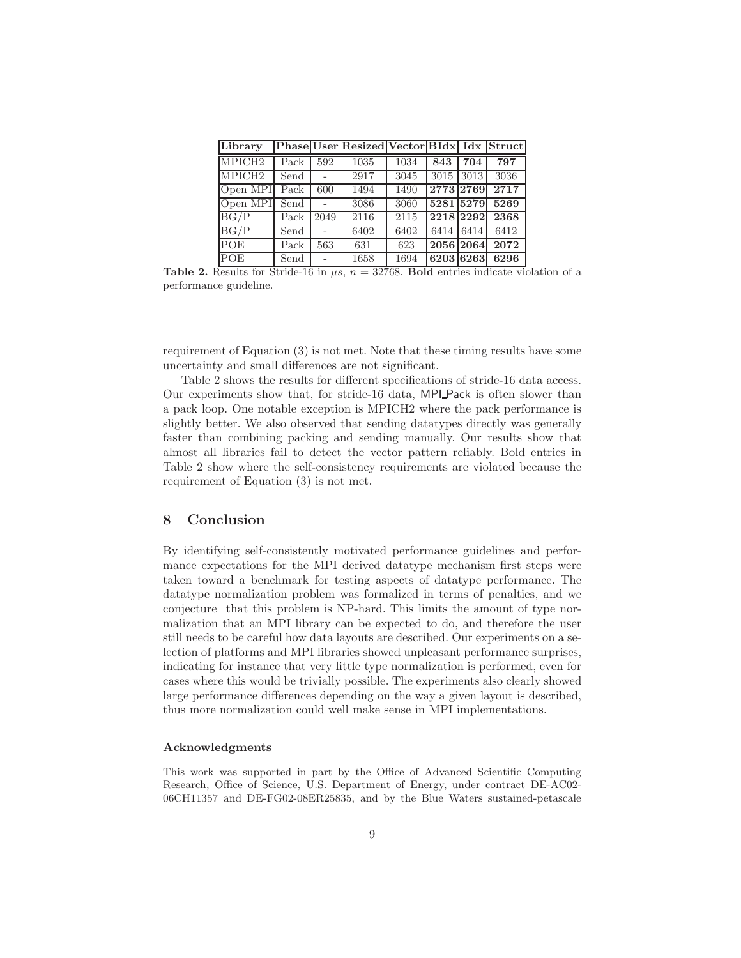| Library            |      |           | Phase User Resized Vector BIdx Idx Struct |      |           |     |                  |
|--------------------|------|-----------|-------------------------------------------|------|-----------|-----|------------------|
| MPICH <sub>2</sub> | Pack | 592       | 1035                                      | 1034 | 843       | 704 | 797              |
| MPICH <sub>2</sub> | Send | $\omega$  | 2917                                      | 3045 | 3015 3013 |     | 3036             |
| Open MPI           | Pack | 600       | 1494                                      | 1490 | 2773 2769 |     | $\frac{2717}{ }$ |
| Open MPI           | Send | $\bar{a}$ | 3086                                      | 3060 | 5281 5279 |     | 5269             |
| BG/P               | Pack | 2049      | 2116                                      | 2115 | 2218 2292 |     | 2368             |
| BG/P               | Send | $\sim$    | 6402                                      | 6402 | 6414 6414 |     | 6412             |
| POE                | Pack | 563       | 631                                       | 623  | 2056 2064 |     | 2072             |
| POE                | Send | $\sim$    | 1658                                      | 1694 | 6203 6263 |     | 6296             |

Table 2. Results for Stride-16 in  $\mu s$ ,  $n = 32768$ . Bold entries indicate violation of a performance guideline.

requirement of Equation (3) is not met. Note that these timing results have some uncertainty and small differences are not significant.

Table 2 shows the results for different specifications of stride-16 data access. Our experiments show that, for stride-16 data, MPI Pack is often slower than a pack loop. One notable exception is MPICH2 where the pack performance is slightly better. We also observed that sending datatypes directly was generally faster than combining packing and sending manually. Our results show that almost all libraries fail to detect the vector pattern reliably. Bold entries in Table 2 show where the self-consistency requirements are violated because the requirement of Equation (3) is not met.

## 8 Conclusion

By identifying self-consistently motivated performance guidelines and performance expectations for the MPI derived datatype mechanism first steps were taken toward a benchmark for testing aspects of datatype performance. The datatype normalization problem was formalized in terms of penalties, and we conjecture that this problem is NP-hard. This limits the amount of type normalization that an MPI library can be expected to do, and therefore the user still needs to be careful how data layouts are described. Our experiments on a selection of platforms and MPI libraries showed unpleasant performance surprises, indicating for instance that very little type normalization is performed, even for cases where this would be trivially possible. The experiments also clearly showed large performance differences depending on the way a given layout is described, thus more normalization could well make sense in MPI implementations.

#### Acknowledgments

This work was supported in part by the Office of Advanced Scientific Computing Research, Office of Science, U.S. Department of Energy, under contract DE-AC02- 06CH11357 and DE-FG02-08ER25835, and by the Blue Waters sustained-petascale